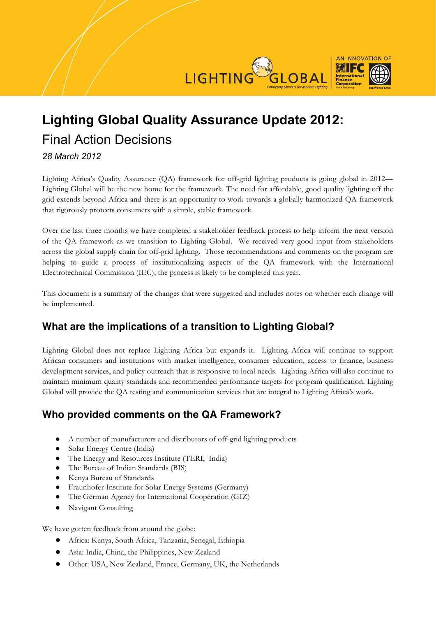

# **Lighting Global Quality Assurance Update 2012:**  Final Action Decisions

#### *28 March 2012*

Lighting Africa's Quality Assurance (QA) framework for off-grid lighting products is going global in 2012— Lighting Global will be the new home for the framework. The need for affordable, good quality lighting off the grid extends beyond Africa and there is an opportunity to work towards a globally harmonized QA framework that rigorously protects consumers with a simple, stable framework.

Over the last three months we have completed a stakeholder feedback process to help inform the next version of the QA framework as we transition to Lighting Global. We received very good input from stakeholders across the global supply chain for off-grid lighting. Those recommendations and comments on the program are helping to guide a process of institutionalizing aspects of the QA framework with the International Electrotechnical Commission (IEC); the process is likely to be completed this year.

This document is a summary of the changes that were suggested and includes notes on whether each change will be implemented.

# **What are the implications of a transition to Lighting Global?**

Lighting Global does not replace Lighting Africa but expands it. Lighting Africa will continue to support African consumers and institutions with market intelligence, consumer education, access to finance, business development services, and policy outreach that is responsive to local needs. Lighting Africa will also continue to maintain minimum quality standards and recommended performance targets for program qualification. Lighting Global will provide the QA testing and communication services that are integral to Lighting Africa's work.

# **Who provided comments on the QA Framework?**

- ! A number of manufacturers and distributors of off-grid lighting products
- Solar Energy Centre (India)
- The Energy and Resources Institute (TERI, India)
- The Bureau of Indian Standards (BIS)
- ! Kenya Bureau of Standards
- ! Fraunhofer Institute for Solar Energy Systems (Germany)
- ! The German Agency for International Cooperation (GIZ)
- Navigant Consulting

We have gotten feedback from around the globe:

- ! Africa: Kenya, South Africa, Tanzania, Senegal, Ethiopia
- ! Asia: India, China, the Philippines, New Zealand
- ! Other: USA, New Zealand, France, Germany, UK, the Netherlands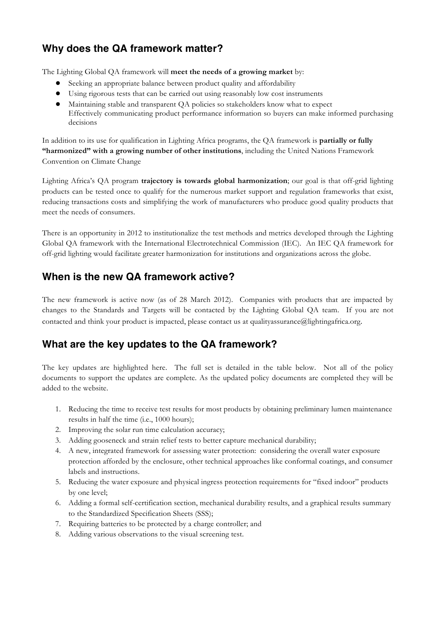# **Why does the QA framework matter?**

The Lighting Global QA framework will **meet the needs of a growing market** by:

- **!** Seeking an appropriate balance between product quality and affordability
- **!** Using rigorous tests that can be carried out using reasonably low cost instruments
- **!** Maintaining stable and transparent QA policies so stakeholders know what to expect Effectively communicating product performance information so buyers can make informed purchasing decisions

In addition to its use for qualification in Lighting Africa programs, the QA framework is **partially or fully "harmonized" with a growing number of other institutions**, including the United Nations Framework Convention on Climate Change

Lighting Africa's QA program **trajectory is towards global harmonization**; our goal is that off-grid lighting products can be tested once to qualify for the numerous market support and regulation frameworks that exist, reducing transactions costs and simplifying the work of manufacturers who produce good quality products that meet the needs of consumers.

There is an opportunity in 2012 to institutionalize the test methods and metrics developed through the Lighting Global QA framework with the International Electrotechnical Commission (IEC). An IEC QA framework for off-grid lighting would facilitate greater harmonization for institutions and organizations across the globe.

#### **When is the new QA framework active?**

The new framework is active now (as of 28 March 2012). Companies with products that are impacted by changes to the Standards and Targets will be contacted by the Lighting Global QA team. If you are not contacted and think your product is impacted, please contact us at qualityassurance@lightingafrica.org.

#### **What are the key updates to the QA framework?**

The key updates are highlighted here. The full set is detailed in the table below. Not all of the policy documents to support the updates are complete. As the updated policy documents are completed they will be added to the website.

- 1. Reducing the time to receive test results for most products by obtaining preliminary lumen maintenance results in half the time (i.e., 1000 hours);
- 2. Improving the solar run time calculation accuracy;
- 3. Adding gooseneck and strain relief tests to better capture mechanical durability;
- 4. A new, integrated framework for assessing water protection: considering the overall water exposure protection afforded by the enclosure, other technical approaches like conformal coatings, and consumer labels and instructions.
- 5. Reducing the water exposure and physical ingress protection requirements for "fixed indoor" products by one level;
- 6. Adding a formal self-certification section, mechanical durability results, and a graphical results summary to the Standardized Specification Sheets (SSS);
- 7. Requiring batteries to be protected by a charge controller; and
- 8. Adding various observations to the visual screening test.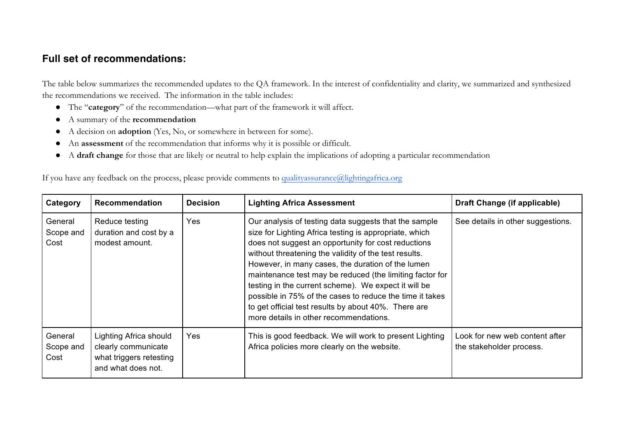### **Full set of recommendations:**

The table below summarizes the recommended updates to the QA framework. In the interest of confidentiality and clarity, we summarized and synthesized the recommendations we received. The information in the table includes:

- ! The "**category**" of the recommendation—what part of the framework it will affect.
- ! A summary of the **recommendation**
- ! A decision on **adoption** (Yes, No, or somewhere in between for some).
- ! An **assessment** of the recommendation that informs why it is possible or difficult.
- ! A **draft change** for those that are likely or neutral to help explain the implications of adopting a particular recommendation

If you have any feedback on the process, please provide comments to qualityassurance@lightingafrica.org

| Category                     | <b>Recommendation</b>                                                                          | <b>Decision</b> | <b>Lighting Africa Assessment</b>                                                                                                                                                                                                                                                                                                                                                                                                                                                                                                                                      | Draft Change (if applicable)                               |
|------------------------------|------------------------------------------------------------------------------------------------|-----------------|------------------------------------------------------------------------------------------------------------------------------------------------------------------------------------------------------------------------------------------------------------------------------------------------------------------------------------------------------------------------------------------------------------------------------------------------------------------------------------------------------------------------------------------------------------------------|------------------------------------------------------------|
| General<br>Scope and<br>Cost | Reduce testing<br>duration and cost by a<br>modest amount.                                     | Yes             | Our analysis of testing data suggests that the sample<br>size for Lighting Africa testing is appropriate, which<br>does not suggest an opportunity for cost reductions<br>without threatening the validity of the test results.<br>However, in many cases, the duration of the lumen<br>maintenance test may be reduced (the limiting factor for<br>testing in the current scheme). We expect it will be<br>possible in 75% of the cases to reduce the time it takes<br>to get official test results by about 40%. There are<br>more details in other recommendations. | See details in other suggestions.                          |
| General<br>Scope and<br>Cost | Lighting Africa should<br>clearly communicate<br>what triggers retesting<br>and what does not. | Yes             | This is good feedback. We will work to present Lighting<br>Africa policies more clearly on the website.                                                                                                                                                                                                                                                                                                                                                                                                                                                                | Look for new web content after<br>the stakeholder process. |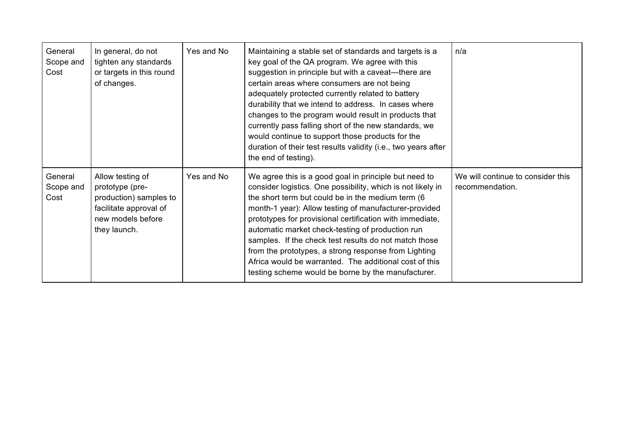| General<br>Scope and<br>Cost | In general, do not<br>tighten any standards<br>or targets in this round<br>of changes.                                       | Yes and No | Maintaining a stable set of standards and targets is a<br>key goal of the QA program. We agree with this<br>suggestion in principle but with a caveat—there are<br>certain areas where consumers are not being<br>adequately protected currently related to battery<br>durability that we intend to address. In cases where<br>changes to the program would result in products that<br>currently pass falling short of the new standards, we<br>would continue to support those products for the<br>duration of their test results validity (i.e., two years after<br>the end of testing). | n/a                                                  |
|------------------------------|------------------------------------------------------------------------------------------------------------------------------|------------|--------------------------------------------------------------------------------------------------------------------------------------------------------------------------------------------------------------------------------------------------------------------------------------------------------------------------------------------------------------------------------------------------------------------------------------------------------------------------------------------------------------------------------------------------------------------------------------------|------------------------------------------------------|
| General<br>Scope and<br>Cost | Allow testing of<br>prototype (pre-<br>production) samples to<br>facilitate approval of<br>new models before<br>they launch. | Yes and No | We agree this is a good goal in principle but need to<br>consider logistics. One possibility, which is not likely in<br>the short term but could be in the medium term (6)<br>month-1 year): Allow testing of manufacturer-provided<br>prototypes for provisional certification with immediate,<br>automatic market check-testing of production run<br>samples. If the check test results do not match those<br>from the prototypes, a strong response from Lighting<br>Africa would be warranted. The additional cost of this<br>testing scheme would be borne by the manufacturer.       | We will continue to consider this<br>recommendation. |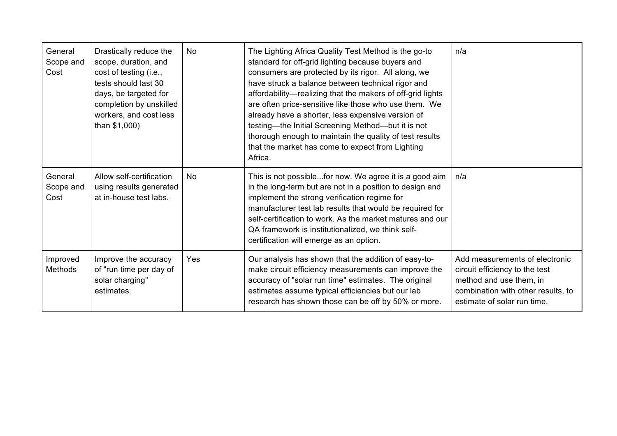| General<br>Scope and<br>Cost | Drastically reduce the<br>scope, duration, and<br>cost of testing (i.e.,<br>tests should last 30<br>days, be targeted for<br>completion by unskilled<br>workers, and cost less<br>than \$1,000) | <b>No</b> | The Lighting Africa Quality Test Method is the go-to<br>standard for off-grid lighting because buyers and<br>consumers are protected by its rigor. All along, we<br>have struck a balance between technical rigor and<br>affordability—realizing that the makers of off-grid lights<br>are often price-sensitive like those who use them. We<br>already have a shorter, less expensive version of<br>testing-the Initial Screening Method-but it is not<br>thorough enough to maintain the quality of test results<br>that the market has come to expect from Lighting<br>Africa. | n/a                                                                                                                                                              |
|------------------------------|-------------------------------------------------------------------------------------------------------------------------------------------------------------------------------------------------|-----------|-----------------------------------------------------------------------------------------------------------------------------------------------------------------------------------------------------------------------------------------------------------------------------------------------------------------------------------------------------------------------------------------------------------------------------------------------------------------------------------------------------------------------------------------------------------------------------------|------------------------------------------------------------------------------------------------------------------------------------------------------------------|
| General<br>Scope and<br>Cost | Allow self-certification<br>using results generated<br>at in-house test labs.                                                                                                                   | <b>No</b> | This is not possiblefor now. We agree it is a good aim<br>in the long-term but are not in a position to design and<br>implement the strong verification regime for<br>manufacturer test lab results that would be required for<br>self-certification to work. As the market matures and our<br>QA framework is institutionalized, we think self-<br>certification will emerge as an option.                                                                                                                                                                                       | n/a                                                                                                                                                              |
| Improved<br>Methods          | Improve the accuracy<br>of "run time per day of<br>solar charging"<br>estimates.                                                                                                                | Yes       | Our analysis has shown that the addition of easy-to-<br>make circuit efficiency measurements can improve the<br>accuracy of "solar run time" estimates. The original<br>estimates assume typical efficiencies but our lab<br>research has shown those can be off by 50% or more.                                                                                                                                                                                                                                                                                                  | Add measurements of electronic<br>circuit efficiency to the test<br>method and use them, in<br>combination with other results, to<br>estimate of solar run time. |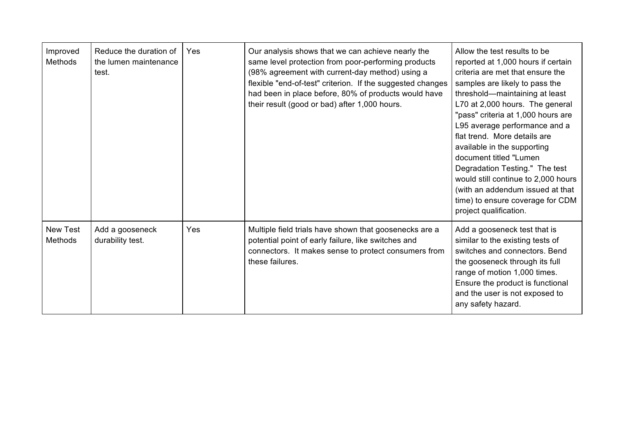| Improved<br><b>Methods</b>        | Reduce the duration of<br>the lumen maintenance<br>test. | Yes | Our analysis shows that we can achieve nearly the<br>same level protection from poor-performing products<br>(98% agreement with current-day method) using a<br>flexible "end-of-test" criterion. If the suggested changes<br>had been in place before, 80% of products would have<br>their result (good or bad) after 1,000 hours. | Allow the test results to be<br>reported at 1,000 hours if certain<br>criteria are met that ensure the<br>samples are likely to pass the<br>threshold—maintaining at least<br>L70 at 2,000 hours. The general<br>"pass" criteria at 1,000 hours are<br>L95 average performance and a<br>flat trend. More details are<br>available in the supporting<br>document titled "Lumen<br>Degradation Testing." The test<br>would still continue to 2,000 hours<br>(with an addendum issued at that<br>time) to ensure coverage for CDM<br>project qualification. |
|-----------------------------------|----------------------------------------------------------|-----|------------------------------------------------------------------------------------------------------------------------------------------------------------------------------------------------------------------------------------------------------------------------------------------------------------------------------------|----------------------------------------------------------------------------------------------------------------------------------------------------------------------------------------------------------------------------------------------------------------------------------------------------------------------------------------------------------------------------------------------------------------------------------------------------------------------------------------------------------------------------------------------------------|
| <b>New Test</b><br><b>Methods</b> | Add a gooseneck<br>durability test.                      | Yes | Multiple field trials have shown that goosenecks are a<br>potential point of early failure, like switches and<br>connectors. It makes sense to protect consumers from<br>these failures.                                                                                                                                           | Add a gooseneck test that is<br>similar to the existing tests of<br>switches and connectors. Bend<br>the gooseneck through its full<br>range of motion 1,000 times.<br>Ensure the product is functional<br>and the user is not exposed to<br>any safety hazard.                                                                                                                                                                                                                                                                                          |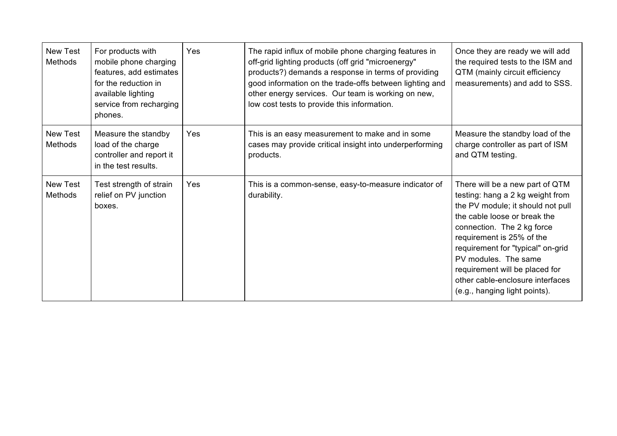| <b>New Test</b><br><b>Methods</b> | For products with<br>mobile phone charging<br>features, add estimates<br>for the reduction in<br>available lighting<br>service from recharging<br>phones. | Yes | The rapid influx of mobile phone charging features in<br>off-grid lighting products (off grid "microenergy"<br>products?) demands a response in terms of providing<br>good information on the trade-offs between lighting and<br>other energy services. Our team is working on new,<br>low cost tests to provide this information. | Once they are ready we will add<br>the required tests to the ISM and<br>QTM (mainly circuit efficiency<br>measurements) and add to SSS.                                                                                                                                                                                                                                 |
|-----------------------------------|-----------------------------------------------------------------------------------------------------------------------------------------------------------|-----|------------------------------------------------------------------------------------------------------------------------------------------------------------------------------------------------------------------------------------------------------------------------------------------------------------------------------------|-------------------------------------------------------------------------------------------------------------------------------------------------------------------------------------------------------------------------------------------------------------------------------------------------------------------------------------------------------------------------|
| <b>New Test</b><br><b>Methods</b> | Measure the standby<br>load of the charge<br>controller and report it<br>in the test results.                                                             | Yes | This is an easy measurement to make and in some<br>cases may provide critical insight into underperforming<br>products.                                                                                                                                                                                                            | Measure the standby load of the<br>charge controller as part of ISM<br>and QTM testing.                                                                                                                                                                                                                                                                                 |
| <b>New Test</b><br><b>Methods</b> | Test strength of strain<br>relief on PV junction<br>boxes.                                                                                                | Yes | This is a common-sense, easy-to-measure indicator of<br>durability.                                                                                                                                                                                                                                                                | There will be a new part of QTM<br>testing: hang a 2 kg weight from<br>the PV module; it should not pull<br>the cable loose or break the<br>connection. The 2 kg force<br>requirement is 25% of the<br>requirement for "typical" on-grid<br>PV modules. The same<br>requirement will be placed for<br>other cable-enclosure interfaces<br>(e.g., hanging light points). |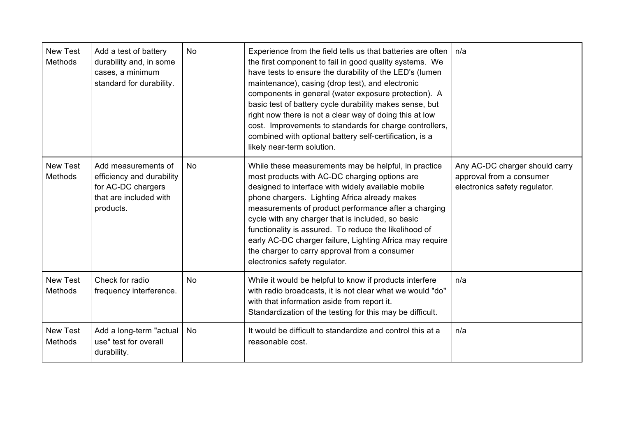| <b>New Test</b><br><b>Methods</b> | Add a test of battery<br>durability and, in some<br>cases, a minimum<br>standard for durability.              | <b>No</b> | Experience from the field tells us that batteries are often<br>the first component to fail in good quality systems. We<br>have tests to ensure the durability of the LED's (lumen<br>maintenance), casing (drop test), and electronic<br>components in general (water exposure protection). A<br>basic test of battery cycle durability makes sense, but<br>right now there is not a clear way of doing this at low<br>cost. Improvements to standards for charge controllers,<br>combined with optional battery self-certification, is a<br>likely near-term solution. | n/a                                                                                         |
|-----------------------------------|---------------------------------------------------------------------------------------------------------------|-----------|-------------------------------------------------------------------------------------------------------------------------------------------------------------------------------------------------------------------------------------------------------------------------------------------------------------------------------------------------------------------------------------------------------------------------------------------------------------------------------------------------------------------------------------------------------------------------|---------------------------------------------------------------------------------------------|
| <b>New Test</b><br><b>Methods</b> | Add measurements of<br>efficiency and durability<br>for AC-DC chargers<br>that are included with<br>products. | <b>No</b> | While these measurements may be helpful, in practice<br>most products with AC-DC charging options are<br>designed to interface with widely available mobile<br>phone chargers. Lighting Africa already makes<br>measurements of product performance after a charging<br>cycle with any charger that is included, so basic<br>functionality is assured. To reduce the likelihood of<br>early AC-DC charger failure, Lighting Africa may require<br>the charger to carry approval from a consumer<br>electronics safety regulator.                                        | Any AC-DC charger should carry<br>approval from a consumer<br>electronics safety regulator. |
| <b>New Test</b><br><b>Methods</b> | Check for radio<br>frequency interference.                                                                    | <b>No</b> | While it would be helpful to know if products interfere<br>with radio broadcasts, it is not clear what we would "do"<br>with that information aside from report it.<br>Standardization of the testing for this may be difficult.                                                                                                                                                                                                                                                                                                                                        | n/a                                                                                         |
| <b>New Test</b><br><b>Methods</b> | Add a long-term "actual<br>use" test for overall<br>durability.                                               | No        | It would be difficult to standardize and control this at a<br>reasonable cost.                                                                                                                                                                                                                                                                                                                                                                                                                                                                                          | n/a                                                                                         |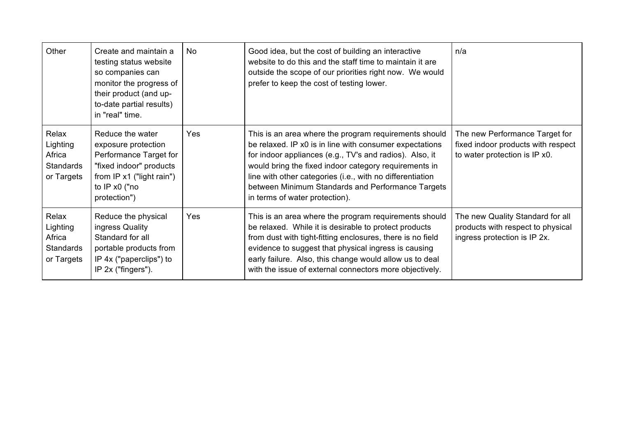| Other                                                         | Create and maintain a<br>testing status website<br>so companies can<br>monitor the progress of<br>their product (and up-<br>to-date partial results)<br>in "real" time. | No. | Good idea, but the cost of building an interactive<br>website to do this and the staff time to maintain it are<br>outside the scope of our priorities right now. We would<br>prefer to keep the cost of testing lower.                                                                                                                                                                   | n/a                                                                                                   |
|---------------------------------------------------------------|-------------------------------------------------------------------------------------------------------------------------------------------------------------------------|-----|------------------------------------------------------------------------------------------------------------------------------------------------------------------------------------------------------------------------------------------------------------------------------------------------------------------------------------------------------------------------------------------|-------------------------------------------------------------------------------------------------------|
| Relax<br>Lighting<br>Africa<br><b>Standards</b><br>or Targets | Reduce the water<br>exposure protection<br>Performance Target for<br>"fixed indoor" products<br>from $IP x1$ ("light rain")<br>to IP x0 ("no<br>protection")            | Yes | This is an area where the program requirements should<br>be relaxed. IP x0 is in line with consumer expectations<br>for indoor appliances (e.g., TV's and radios). Also, it<br>would bring the fixed indoor category requirements in<br>line with other categories (i.e., with no differentiation<br>between Minimum Standards and Performance Targets<br>in terms of water protection). | The new Performance Target for<br>fixed indoor products with respect<br>to water protection is IP x0. |
| Relax<br>Lighting<br>Africa<br><b>Standards</b><br>or Targets | Reduce the physical<br>ingress Quality<br>Standard for all<br>portable products from<br>IP 4x ("paperclips") to<br>IP 2x ("fingers").                                   | Yes | This is an area where the program requirements should<br>be relaxed. While it is desirable to protect products<br>from dust with tight-fitting enclosures, there is no field<br>evidence to suggest that physical ingress is causing<br>early failure. Also, this change would allow us to deal<br>with the issue of external connectors more objectively.                               | The new Quality Standard for all<br>products with respect to physical<br>ingress protection is IP 2x. |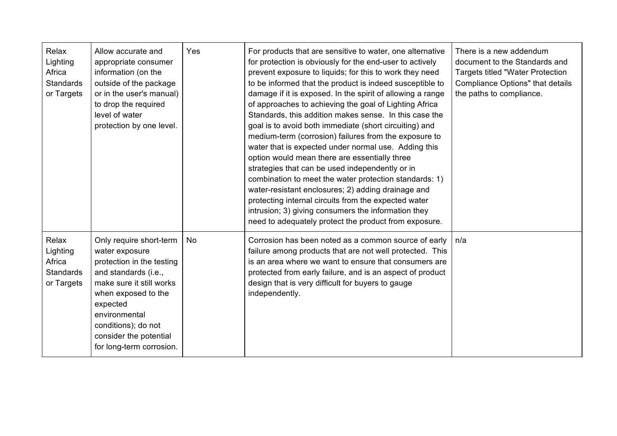| Relax<br>Lighting<br>Africa<br>Standards<br>or Targets | Allow accurate and<br>appropriate consumer<br>information (on the<br>outside of the package<br>or in the user's manual)<br>to drop the required<br>level of water<br>protection by one level.                                                               | Yes | For products that are sensitive to water, one alternative<br>for protection is obviously for the end-user to actively<br>prevent exposure to liquids; for this to work they need<br>to be informed that the product is indeed susceptible to<br>damage if it is exposed. In the spirit of allowing a range<br>of approaches to achieving the goal of Lighting Africa<br>Standards, this addition makes sense. In this case the<br>goal is to avoid both immediate (short circuiting) and<br>medium-term (corrosion) failures from the exposure to<br>water that is expected under normal use. Adding this<br>option would mean there are essentially three<br>strategies that can be used independently or in<br>combination to meet the water protection standards: 1)<br>water-resistant enclosures; 2) adding drainage and<br>protecting internal circuits from the expected water<br>intrusion; 3) giving consumers the information they<br>need to adequately protect the product from exposure. | There is a new addendum<br>document to the Standards and<br><b>Targets titled "Water Protection</b><br>Compliance Options" that details<br>the paths to compliance. |
|--------------------------------------------------------|-------------------------------------------------------------------------------------------------------------------------------------------------------------------------------------------------------------------------------------------------------------|-----|-------------------------------------------------------------------------------------------------------------------------------------------------------------------------------------------------------------------------------------------------------------------------------------------------------------------------------------------------------------------------------------------------------------------------------------------------------------------------------------------------------------------------------------------------------------------------------------------------------------------------------------------------------------------------------------------------------------------------------------------------------------------------------------------------------------------------------------------------------------------------------------------------------------------------------------------------------------------------------------------------------|---------------------------------------------------------------------------------------------------------------------------------------------------------------------|
| Relax<br>Lighting<br>Africa<br>Standards<br>or Targets | Only require short-term<br>water exposure<br>protection in the testing<br>and standards (i.e.,<br>make sure it still works<br>when exposed to the<br>expected<br>environmental<br>conditions); do not<br>consider the potential<br>for long-term corrosion. | No  | Corrosion has been noted as a common source of early<br>failure among products that are not well protected. This<br>is an area where we want to ensure that consumers are<br>protected from early failure, and is an aspect of product<br>design that is very difficult for buyers to gauge<br>independently.                                                                                                                                                                                                                                                                                                                                                                                                                                                                                                                                                                                                                                                                                         | n/a                                                                                                                                                                 |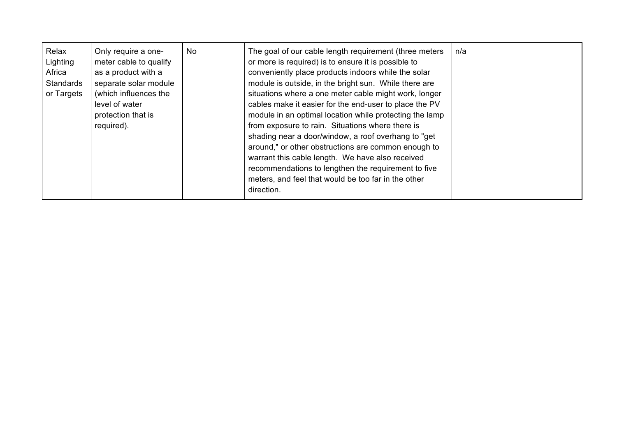| Relax<br>Lighting<br>Africa<br>Standards<br>or Targets | Only require a one-<br>meter cable to qualify<br>as a product with a<br>separate solar module<br>(which influences the<br>level of water<br>protection that is<br>required). | No | The goal of our cable length requirement (three meters<br>or more is required) is to ensure it is possible to<br>conveniently place products indoors while the solar<br>module is outside, in the bright sun. While there are<br>situations where a one meter cable might work, longer<br>cables make it easier for the end-user to place the PV<br>module in an optimal location while protecting the lamp<br>from exposure to rain. Situations where there is<br>shading near a door/window, a roof overhang to "get<br>around," or other obstructions are common enough to<br>warrant this cable length. We have also received<br>recommendations to lengthen the requirement to five<br>meters, and feel that would be too far in the other<br>direction. | n/a |
|--------------------------------------------------------|------------------------------------------------------------------------------------------------------------------------------------------------------------------------------|----|---------------------------------------------------------------------------------------------------------------------------------------------------------------------------------------------------------------------------------------------------------------------------------------------------------------------------------------------------------------------------------------------------------------------------------------------------------------------------------------------------------------------------------------------------------------------------------------------------------------------------------------------------------------------------------------------------------------------------------------------------------------|-----|
|                                                        |                                                                                                                                                                              |    |                                                                                                                                                                                                                                                                                                                                                                                                                                                                                                                                                                                                                                                                                                                                                               |     |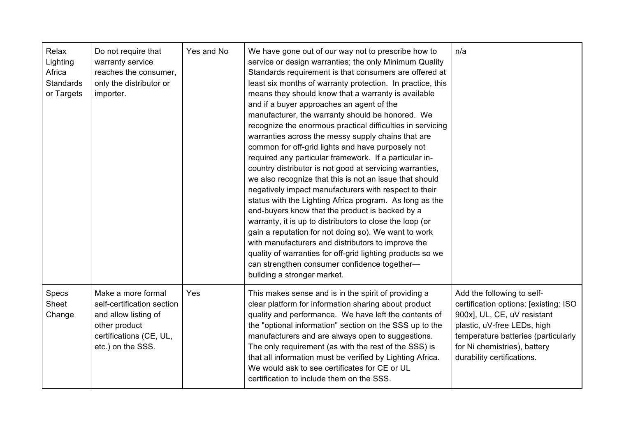| Relax<br>Lighting<br>Africa<br>Standards<br>or Targets | Do not require that<br>warranty service<br>reaches the consumer,<br>only the distributor or<br>importer.                                  | Yes and No | We have gone out of our way not to prescribe how to<br>service or design warranties; the only Minimum Quality<br>Standards requirement is that consumers are offered at<br>least six months of warranty protection. In practice, this<br>means they should know that a warranty is available<br>and if a buyer approaches an agent of the<br>manufacturer, the warranty should be honored. We<br>recognize the enormous practical difficulties in servicing<br>warranties across the messy supply chains that are<br>common for off-grid lights and have purposely not<br>required any particular framework. If a particular in-<br>country distributor is not good at servicing warranties,<br>we also recognize that this is not an issue that should<br>negatively impact manufacturers with respect to their<br>status with the Lighting Africa program. As long as the<br>end-buyers know that the product is backed by a<br>warranty, it is up to distributors to close the loop (or<br>gain a reputation for not doing so). We want to work<br>with manufacturers and distributors to improve the<br>quality of warranties for off-grid lighting products so we<br>can strengthen consumer confidence together-<br>building a stronger market. | n/a                                                                                                                                                                                                                                    |
|--------------------------------------------------------|-------------------------------------------------------------------------------------------------------------------------------------------|------------|-------------------------------------------------------------------------------------------------------------------------------------------------------------------------------------------------------------------------------------------------------------------------------------------------------------------------------------------------------------------------------------------------------------------------------------------------------------------------------------------------------------------------------------------------------------------------------------------------------------------------------------------------------------------------------------------------------------------------------------------------------------------------------------------------------------------------------------------------------------------------------------------------------------------------------------------------------------------------------------------------------------------------------------------------------------------------------------------------------------------------------------------------------------------------------------------------------------------------------------------------------|----------------------------------------------------------------------------------------------------------------------------------------------------------------------------------------------------------------------------------------|
| <b>Specs</b><br><b>Sheet</b><br>Change                 | Make a more formal<br>self-certification section<br>and allow listing of<br>other product<br>certifications (CE, UL,<br>etc.) on the SSS. | Yes        | This makes sense and is in the spirit of providing a<br>clear platform for information sharing about product<br>quality and performance. We have left the contents of<br>the "optional information" section on the SSS up to the<br>manufacturers and are always open to suggestions.<br>The only requirement (as with the rest of the SSS) is<br>that all information must be verified by Lighting Africa.<br>We would ask to see certificates for CE or UL<br>certification to include them on the SSS.                                                                                                                                                                                                                                                                                                                                                                                                                                                                                                                                                                                                                                                                                                                                             | Add the following to self-<br>certification options: [existing: ISO<br>900x], UL, CE, uV resistant<br>plastic, uV-free LEDs, high<br>temperature batteries (particularly<br>for Ni chemistries), battery<br>durability certifications. |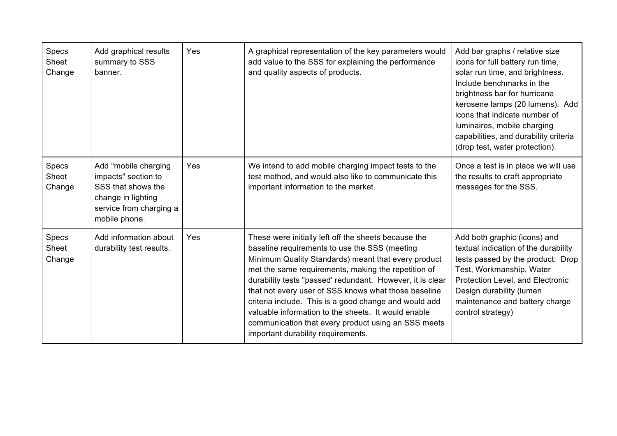| Specs<br>Sheet<br>Change | Add graphical results<br>summary to SSS<br>banner.                                                                                  | Yes | A graphical representation of the key parameters would<br>add value to the SSS for explaining the performance<br>and quality aspects of products.                                                                                                                                                                                                                                                                                                                                                                                                     | Add bar graphs / relative size<br>icons for full battery run time,<br>solar run time, and brightness.<br>Include benchmarks in the<br>brightness bar for hurricane<br>kerosene lamps (20 lumens). Add<br>icons that indicate number of<br>luminaires, mobile charging<br>capabilities, and durability criteria<br>(drop test, water protection). |
|--------------------------|-------------------------------------------------------------------------------------------------------------------------------------|-----|-------------------------------------------------------------------------------------------------------------------------------------------------------------------------------------------------------------------------------------------------------------------------------------------------------------------------------------------------------------------------------------------------------------------------------------------------------------------------------------------------------------------------------------------------------|--------------------------------------------------------------------------------------------------------------------------------------------------------------------------------------------------------------------------------------------------------------------------------------------------------------------------------------------------|
| Specs<br>Sheet<br>Change | Add "mobile charging<br>impacts" section to<br>SSS that shows the<br>change in lighting<br>service from charging a<br>mobile phone. | Yes | We intend to add mobile charging impact tests to the<br>test method, and would also like to communicate this<br>important information to the market.                                                                                                                                                                                                                                                                                                                                                                                                  | Once a test is in place we will use<br>the results to craft appropriate<br>messages for the SSS.                                                                                                                                                                                                                                                 |
| Specs<br>Sheet<br>Change | Add information about<br>durability test results.                                                                                   | Yes | These were initially left off the sheets because the<br>baseline requirements to use the SSS (meeting<br>Minimum Quality Standards) meant that every product<br>met the same requirements, making the repetition of<br>durability tests "passed' redundant. However, it is clear<br>that not every user of SSS knows what those baseline<br>criteria include. This is a good change and would add<br>valuable information to the sheets. It would enable<br>communication that every product using an SSS meets<br>important durability requirements. | Add both graphic (icons) and<br>textual indication of the durability<br>tests passed by the product: Drop<br>Test, Workmanship, Water<br>Protection Level, and Electronic<br>Design durability (lumen<br>maintenance and battery charge<br>control strategy)                                                                                     |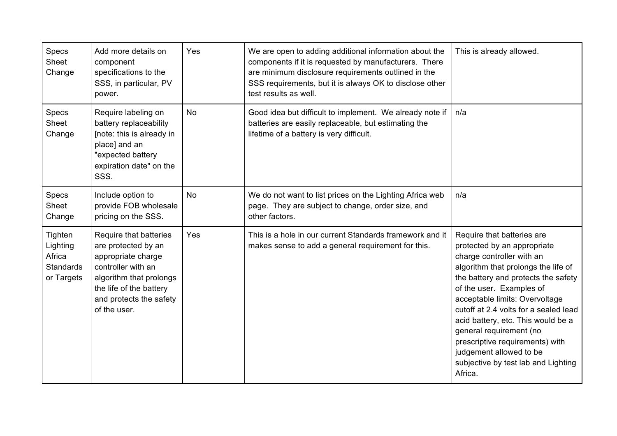| Specs<br>Sheet<br>Change                                        | Add more details on<br>component<br>specifications to the<br>SSS, in particular, PV<br>power.                                                                                              | Yes       | We are open to adding additional information about the<br>components if it is requested by manufacturers. There<br>are minimum disclosure requirements outlined in the<br>SSS requirements, but it is always OK to disclose other<br>test results as well. | This is already allowed.                                                                                                                                                                                                                                                                                                                                                                                                                                     |
|-----------------------------------------------------------------|--------------------------------------------------------------------------------------------------------------------------------------------------------------------------------------------|-----------|------------------------------------------------------------------------------------------------------------------------------------------------------------------------------------------------------------------------------------------------------------|--------------------------------------------------------------------------------------------------------------------------------------------------------------------------------------------------------------------------------------------------------------------------------------------------------------------------------------------------------------------------------------------------------------------------------------------------------------|
| Specs<br>Sheet<br>Change                                        | Require labeling on<br>battery replaceability<br>[note: this is already in<br>place] and an<br>"expected battery<br>expiration date" on the<br>SSS.                                        | <b>No</b> | Good idea but difficult to implement. We already note if<br>batteries are easily replaceable, but estimating the<br>lifetime of a battery is very difficult.                                                                                               | n/a                                                                                                                                                                                                                                                                                                                                                                                                                                                          |
| Specs<br>Sheet<br>Change                                        | Include option to<br>provide FOB wholesale<br>pricing on the SSS.                                                                                                                          | <b>No</b> | We do not want to list prices on the Lighting Africa web<br>page. They are subject to change, order size, and<br>other factors.                                                                                                                            | n/a                                                                                                                                                                                                                                                                                                                                                                                                                                                          |
| Tighten<br>Lighting<br>Africa<br><b>Standards</b><br>or Targets | Require that batteries<br>are protected by an<br>appropriate charge<br>controller with an<br>algorithm that prolongs<br>the life of the battery<br>and protects the safety<br>of the user. | Yes       | This is a hole in our current Standards framework and it<br>makes sense to add a general requirement for this.                                                                                                                                             | Require that batteries are<br>protected by an appropriate<br>charge controller with an<br>algorithm that prolongs the life of<br>the battery and protects the safety<br>of the user. Examples of<br>acceptable limits: Overvoltage<br>cutoff at 2.4 volts for a sealed lead<br>acid battery, etc. This would be a<br>general requirement (no<br>prescriptive requirements) with<br>judgement allowed to be<br>subjective by test lab and Lighting<br>Africa. |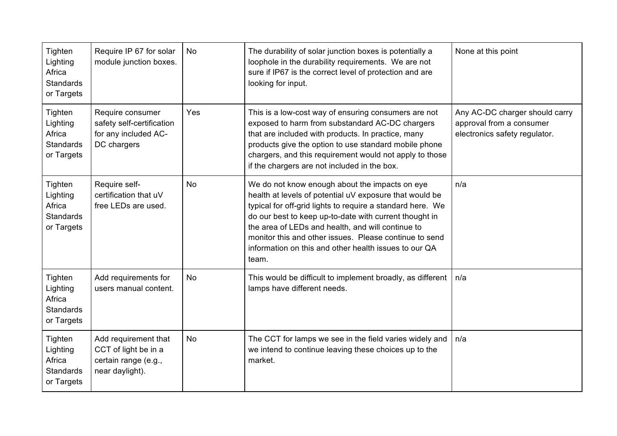| Tighten<br>Lighting<br>Africa<br><b>Standards</b><br>or Targets | Require IP 67 for solar<br>module junction boxes.                                       | <b>No</b> | The durability of solar junction boxes is potentially a<br>loophole in the durability requirements. We are not<br>sure if IP67 is the correct level of protection and are<br>looking for input.                                                                                                                                                                                                                    | None at this point                                                                          |
|-----------------------------------------------------------------|-----------------------------------------------------------------------------------------|-----------|--------------------------------------------------------------------------------------------------------------------------------------------------------------------------------------------------------------------------------------------------------------------------------------------------------------------------------------------------------------------------------------------------------------------|---------------------------------------------------------------------------------------------|
| Tighten<br>Lighting<br>Africa<br><b>Standards</b><br>or Targets | Require consumer<br>safety self-certification<br>for any included AC-<br>DC chargers    | Yes       | This is a low-cost way of ensuring consumers are not<br>exposed to harm from substandard AC-DC chargers<br>that are included with products. In practice, many<br>products give the option to use standard mobile phone<br>chargers, and this requirement would not apply to those<br>if the chargers are not included in the box.                                                                                  | Any AC-DC charger should carry<br>approval from a consumer<br>electronics safety regulator. |
| Tighten<br>Lighting<br>Africa<br><b>Standards</b><br>or Targets | Require self-<br>certification that uV<br>free LEDs are used.                           | <b>No</b> | We do not know enough about the impacts on eye<br>health at levels of potential uV exposure that would be<br>typical for off-grid lights to require a standard here. We<br>do our best to keep up-to-date with current thought in<br>the area of LEDs and health, and will continue to<br>monitor this and other issues. Please continue to send<br>information on this and other health issues to our QA<br>team. | n/a                                                                                         |
| Tighten<br>Lighting<br>Africa<br><b>Standards</b><br>or Targets | Add requirements for<br>users manual content.                                           | <b>No</b> | This would be difficult to implement broadly, as different<br>lamps have different needs.                                                                                                                                                                                                                                                                                                                          | n/a                                                                                         |
| Tighten<br>Lighting<br>Africa<br><b>Standards</b><br>or Targets | Add requirement that<br>CCT of light be in a<br>certain range (e.g.,<br>near daylight). | No        | The CCT for lamps we see in the field varies widely and<br>we intend to continue leaving these choices up to the<br>market.                                                                                                                                                                                                                                                                                        | n/a                                                                                         |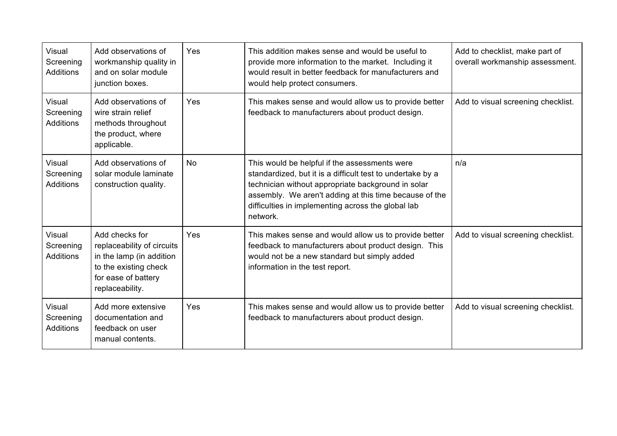| Visual<br>Screening<br><b>Additions</b> | Add observations of<br>workmanship quality in<br>and on solar module<br>junction boxes.                                                     | Yes       | This addition makes sense and would be useful to<br>provide more information to the market. Including it<br>would result in better feedback for manufacturers and<br>would help protect consumers.                                                                                            | Add to checklist, make part of<br>overall workmanship assessment. |
|-----------------------------------------|---------------------------------------------------------------------------------------------------------------------------------------------|-----------|-----------------------------------------------------------------------------------------------------------------------------------------------------------------------------------------------------------------------------------------------------------------------------------------------|-------------------------------------------------------------------|
| Visual<br>Screening<br><b>Additions</b> | Add observations of<br>wire strain relief<br>methods throughout<br>the product, where<br>applicable.                                        | Yes       | This makes sense and would allow us to provide better<br>feedback to manufacturers about product design.                                                                                                                                                                                      | Add to visual screening checklist.                                |
| Visual<br>Screening<br><b>Additions</b> | Add observations of<br>solar module laminate<br>construction quality.                                                                       | <b>No</b> | This would be helpful if the assessments were<br>standardized, but it is a difficult test to undertake by a<br>technician without appropriate background in solar<br>assembly. We aren't adding at this time because of the<br>difficulties in implementing across the global lab<br>network. | n/a                                                               |
| Visual<br>Screening<br><b>Additions</b> | Add checks for<br>replaceability of circuits<br>in the lamp (in addition<br>to the existing check<br>for ease of battery<br>replaceability. | Yes       | This makes sense and would allow us to provide better<br>feedback to manufacturers about product design. This<br>would not be a new standard but simply added<br>information in the test report.                                                                                              | Add to visual screening checklist.                                |
| Visual<br>Screening<br>Additions        | Add more extensive<br>documentation and<br>feedback on user<br>manual contents.                                                             | Yes       | This makes sense and would allow us to provide better<br>feedback to manufacturers about product design.                                                                                                                                                                                      | Add to visual screening checklist.                                |